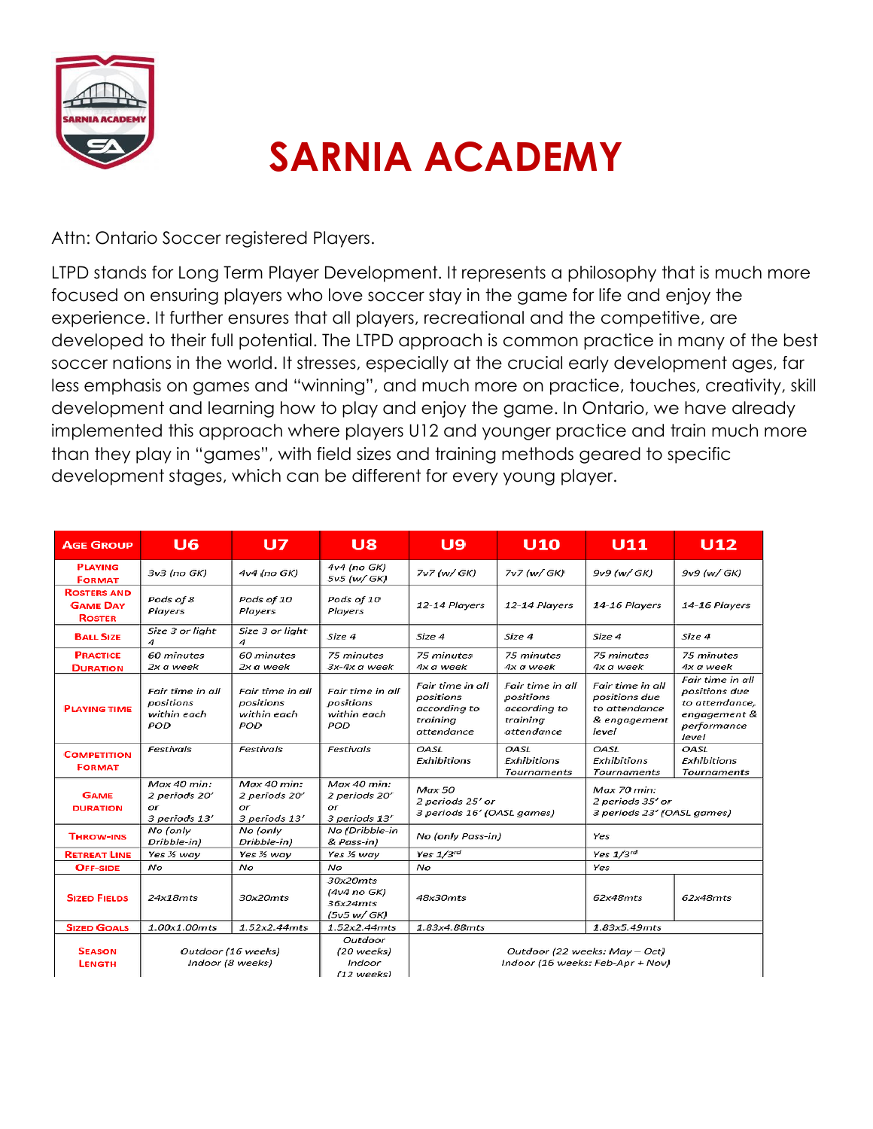

## **SARNIA ACADEMY**

Attn: Ontario Soccer registered Players.

LTPD stands for Long Term Player Development. It represents a philosophy that is much more focused on ensuring players who love soccer stay in the game for life and enjoy the experience. It further ensures that all players, recreational and the competitive, are developed to their full potential. The LTPD approach is common practice in many of the best soccer nations in the world. It stresses, especially at the crucial early development ages, far less emphasis on games and "winning", and much more on practice, touches, creativity, skill development and learning how to play and enjoy the game. In Ontario, we have already implemented this approach where players U12 and younger practice and train much more than they play in "games", with field sizes and training methods geared to specific development stages, which can be different for every young player.

| <b>AGE GROUP</b>                                       | U6                                                  | U7                                                  | U8                                                  | U9                                                                      | U10                                                                     | <b>U11</b>                                                                  | U12                                                                                         |
|--------------------------------------------------------|-----------------------------------------------------|-----------------------------------------------------|-----------------------------------------------------|-------------------------------------------------------------------------|-------------------------------------------------------------------------|-----------------------------------------------------------------------------|---------------------------------------------------------------------------------------------|
| <b>PLAYING</b><br><b>FORMAT</b>                        | 3v3 (no GK)                                         | 4v4 (no GK)                                         | 4v4 (no GK)<br>5v5 (w/ GK)                          | 7v7 (w/ GK)                                                             | 7v7 (w/ GK)                                                             | 9v9 (w/ GK)                                                                 | 9v9 (w/ GK)                                                                                 |
| <b>ROSTERS AND</b><br><b>GAME DAY</b><br><b>ROSTER</b> | Pods of 8<br>Players                                | Pods of 10<br>Players                               | Pods of 10<br>Players                               | 12-14 Players                                                           | 12-14 Players                                                           | 14-16 Players                                                               | 14-16 Players                                                                               |
| <b>BALL SIZE</b>                                       | Size 3 or light<br>4                                | Size 3 or light<br>Δ                                | Size 4                                              | Size 4                                                                  | Size 4                                                                  | Size 4                                                                      | Size 4                                                                                      |
| <b>PRACTICE</b><br><b>DURATION</b>                     | 60 minutes<br>2x a week                             | 60 minutes<br>2x a week                             | 75 minutes<br>3x-4x a week                          | 75 minutes<br>4x a week                                                 | 75 minutes<br>4x a week                                                 | 75 minutes<br>4x a week                                                     | 75 minutes<br>4x a week                                                                     |
| <b>PLAYING TIME</b>                                    | Fair time in all<br>positions<br>within each<br>POD | Fair time in all<br>positions<br>within each<br>POD | Fair time in all<br>positions<br>within each<br>POD | Fair time in all<br>positions<br>according to<br>training<br>attendance | Fair time in all<br>positions<br>according to<br>training<br>attendance | Fair time in all<br>positions due<br>to attendance<br>& engagement<br>level | Fair time in all<br>positions due<br>to attendance,<br>engagement &<br>performance<br>level |
| <b>COMPETITION</b><br><b>FORMAT</b>                    | Festivals                                           | Festivals                                           | Festivals                                           | OASL<br>Exhibitions                                                     | <b>OASL</b><br>Exhibitions<br><b>Tournaments</b>                        | <b>OASL</b><br>Exhibitions<br><b>Tournaments</b>                            | OASL<br>Exhibitions<br><b>Tournaments</b>                                                   |
| <b>GAME</b><br><b>DURATION</b>                         | Max 40 min:<br>2 periods 20'<br>or<br>3 periods 13' | Max 40 min:<br>2 periods 20'<br>or<br>3 periods 13' | Max 40 min:<br>2 periods 20'<br>or<br>3 periods 13' | Max 50<br>2 periods 25' or<br>3 periods 16' (OASL games)                |                                                                         | Max 70 min:<br>2 periods 35' or<br>3 periods 23' (OASL games)               |                                                                                             |
| <b>THROW-INS</b>                                       | No (only<br>Dribble-in)                             | No (only<br>Dribble-in)                             | No (Dribble-in<br>& Pass-in)                        | No (only Pass-in)                                                       |                                                                         | Yes                                                                         |                                                                                             |
| <b>RETREAT LINE</b>                                    | Yes 1/2 way                                         | Yes 1/2 way                                         | Yes 1/2 way                                         | Yes 1/3rd                                                               |                                                                         | Yes 1/3rd                                                                   |                                                                                             |
| <b>OFF-SIDE</b>                                        | No                                                  | No                                                  | No                                                  | No                                                                      |                                                                         | Yes                                                                         |                                                                                             |
| <b>SIZED FIELDS</b>                                    | 24x18mts                                            | 30x20mts                                            | 30x20mts<br>(4v4 no GK)<br>36x24mts<br>(5v5 w/GK)   | 48x30mts                                                                |                                                                         | 62x48mts                                                                    | 62x48mts                                                                                    |
| <b>SIZED GOALS</b>                                     | 1.00x1.00mts                                        | 1.52x2.44mts                                        | 1.52x2.44mts                                        | 1.83x4.88mts                                                            |                                                                         | 1.83x5.49mts                                                                |                                                                                             |
| <b>SEASON</b><br><b>LENGTH</b>                         | Outdoor (16 weeks)<br>Indoor (8 weeks)              |                                                     | Outdoor<br>(20 weeks)<br>Indoor<br>(12 weeks)       | Outdoor (22 weeks: May - Oct)<br>Indoor (16 weeks: Feb-Apr + Nov)       |                                                                         |                                                                             |                                                                                             |